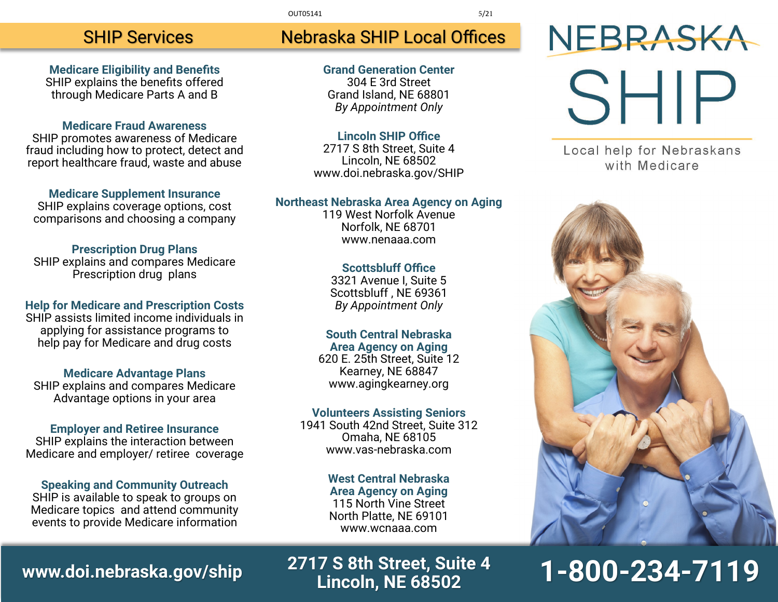#### OUT05141 5/21

#### SHIP Services

**Medicare Eligibility and Benefits** SHIP explains the benefits offered through Medicare Parts A and B

#### **Medicare Fraud Awareness**

SHIP promotes awareness of Medicare fraud including how to protect, detect and report healthcare fraud, waste and abuse

**Medicare Supplement Insurance** SHIP explains coverage options, cost comparisons and choosing a company

#### **Prescription Drug Plans**

SHIP explains and compares Medicare Prescription drug plans

#### **Help for Medicare and Prescription Costs**

SHIP assists limited income individuals in applying for assistance programs to help pay for Medicare and drug costs

#### **Medicare Advantage Plans**

SHIP explains and compares Medicare Advantage options in your area

#### **Employer and Retiree Insurance**

SHIP explains the interaction between Medicare and employer/ retiree coverage

#### **Speaking and Community Outreach**

SHIP is available to speak to groups on Medicare topics and attend community events to provide Medicare information

### Nebraska SHIP Local Offices

**Grand Generation Center** 304 E 3rd Street Grand Island, NE 68801 *By Appointment Only*

#### **Lincoln SHIP Office**

2717 S 8th Street, Suite 4 Lincoln, NE 68502 www.doi.nebraska.gov/SHIP

#### **Northeast Nebraska Area Agency on Aging**

119 West Norfolk Avenue Norfolk, NE 68701 www.nenaaa.com

#### **Scottsbluff Office**

3321 Avenue I, Suite 5 Scottsbluff , NE 69361 *By Appointment Only*

#### **South Central Nebraska**

**Area Agency on Aging** 620 E. 25th Street, Suite 12 Kearney, NE 68847 www.agingkearney.org

#### **Volunteers Assisting Seniors**

1941 South 42nd Street, Suite 312 Omaha, NE 68105 www.vas-nebraska.com

#### **West Central Nebraska**

**Area Agency on Aging** 115 North Vine Street North Platte, NE 69101 www.wcnaaa.com

## NEBRASKA SHIP

Local help for Nebraskans with Medicare



## **1-800-234-7119**

## **www.doi.nebraska.gov/ship 2717 S 8th Street, Suite 4**

**Lincoln, NE 68502**